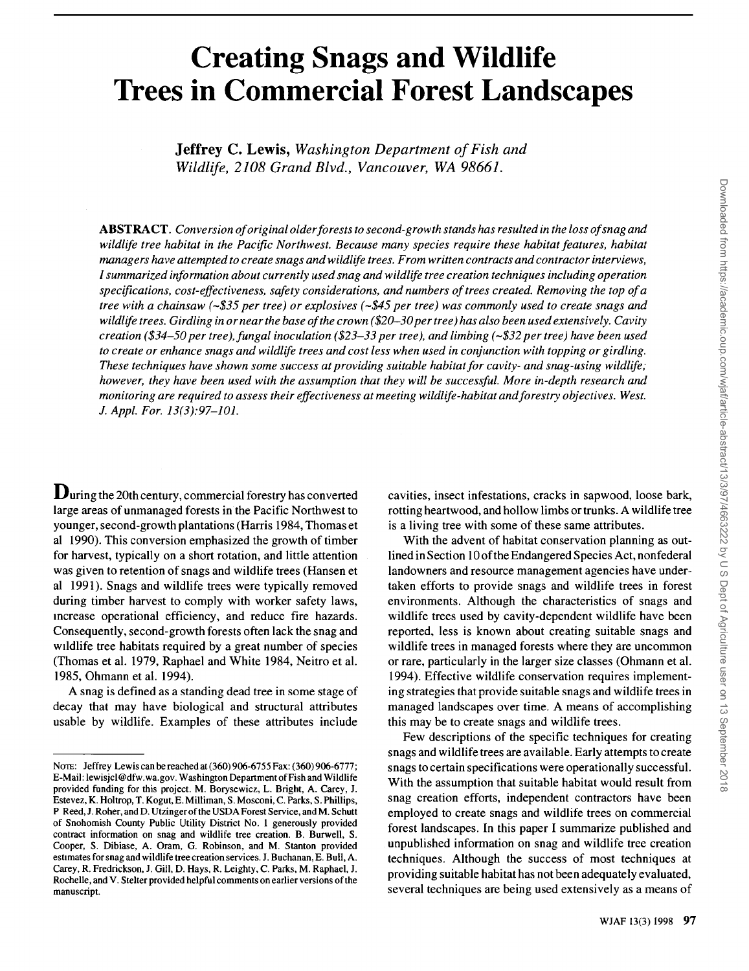# **Creating Snags and Wildlife Trees in Commercial Forest Landscapes**

**Jeffrey C. Lewis, Washington Department of Fish and Wildlife, 2108 Grand Blvd., Vancouver, WA 98661.** 

**ABSTRACT. Conversion of original older forests to second-growth stands has resulted in the loss of snag and wildlife tree habitat in the Pacific Northwest. Because many species require these habitat features, habitat managers have attempted to create snags and wildlife trees. From written contracts and contractor interviews, I summarized information about currently used snag and wildlife tree creation techniques including operation specifications, cost-effectiveness, safety considerations, and numbers of trees created. Removing the top of a tree with a chainsaw (-\$35 per tree) or explosives (-\$45 per tree) was commonly used to create snags and wildlife trees. Girdling in or near the base of the crown ( \$20-30 per tree) has also been used extensively. Cavity creation (\$34-50 per tree), fungal inoculation (\$23-33 per tree), and limbing (-\$32 per tree) have been used to create or enhance snags and wildlife trees and cost less when used in conjunction with topping or girdling. These techniques have shown some success at providing suitable habitat for cavity- and snag-using wildlife; however, they have been used with the assumption that they will be successful. More in-depth research and monitoring are required to assess their effectiveness atmeeting wildlife-habitat and forestry objectives. West. J. Appl. For. 13(3):97-101.** 

**During the 20th century, commercial forestry has converted large areas of unmanaged forests in the Pacific Northwest to younger, second-growth plantations (Harris 1984, Thomas et al 1990). This conversion emphasized the growth of timber for harvest, typically on a short rotation, and little attention was given to retention of snags and wildlife trees (Hansen et al 1991). Snags and wildlife trees were typically removed during timber harvest to comply with worker safety laws, •ncrease operational efficiency, and reduce fire hazards. Consequently, second-growth forests often lack the snag and wddlife tree habitats required by a great number of species (Thomas et al. 1979, Raphael and White 1984, Neitro et al. 1985, Ohmann et al. 1994).** 

**A snag is defined as a standing dead tree in some stage of decay that may have biological and structural attributes usable by wildlife. Examples of these attributes include** 

**cavities, insect infestations, cracks in sapwood, loose bark, rotting heartwood, and hollow limbs or trunks. A wildlife tree is a living tree with some of these same attributes.** 

**With the advent of habitat conservation planning as outlined in Section 10 of the Endangered Species Act, nonfederal landowners and resource management agencies have undertaken efforts to provide snags and wildlife trees in forest environments. Although the characteristics of snags and wildlife trees used by cavity-dependent wildlife have been reported, less is known about creating suitable snags and wildlife trees in managed forests where they are uncommon or rare, particularly in the larger size classes (Ohmann et al. 1994). Effective wildlife conservation requires implementing strategies that provide suitable snags and wildlife trees in managed landscapes over time. A means of accomplishing this may be to create snags and wildlife trees.** 

**Few descriptions of the specific techniques for creating snags and wildlife trees are available. Early attempts to create snags to certain specifications were operationally successful. With the assumption that suitable habitat would result from snag creation efforts, independent contractors have been employed to create snags and wildlife trees on commercial forest landscapes. In this paper I summarize published and unpublished information on snag and wildlife tree creation techniques. Although the success of most techniques at providing suitable habitat has not been adequately evaluated, several techniques are being used extensively as a means of** 

**Nora: Jeffrey Lewis can be reached at (360) 906-6755 Fax: (360) 906-6777; E-Mail: lewisjcl@dfw.wa.gov. Washington Department of Fish and Wildlife provided funding for this project. M. Borysewicz, L. Bright, A. Carey, J. Estevez, K. Holttop, T. Kogut, E. Milliman, S. Mosconi, C. Parks, S. Phillips, P Reed, J. Roher, and D. Utzinger of the USDA Forest Service, and M. Schutt of Snohomish County Public Utility District No. I generously provided contract information on snag and wildlife tree creation. B. Burwell, S. Cooper, S. Dibiase, A. Oram, G. Robinson, and M. Stanton provided**  estimates for snag and wildlife tree creation services. J. Buchanan, E. Bull, A. **Carey, R. Fredrickson, J. Gill, D. Hays, R. Leighty, C. Parks, M. Raphael, J. Rochelle, and V. Stelter provided helpful comments on earlier versions of the manuscript.**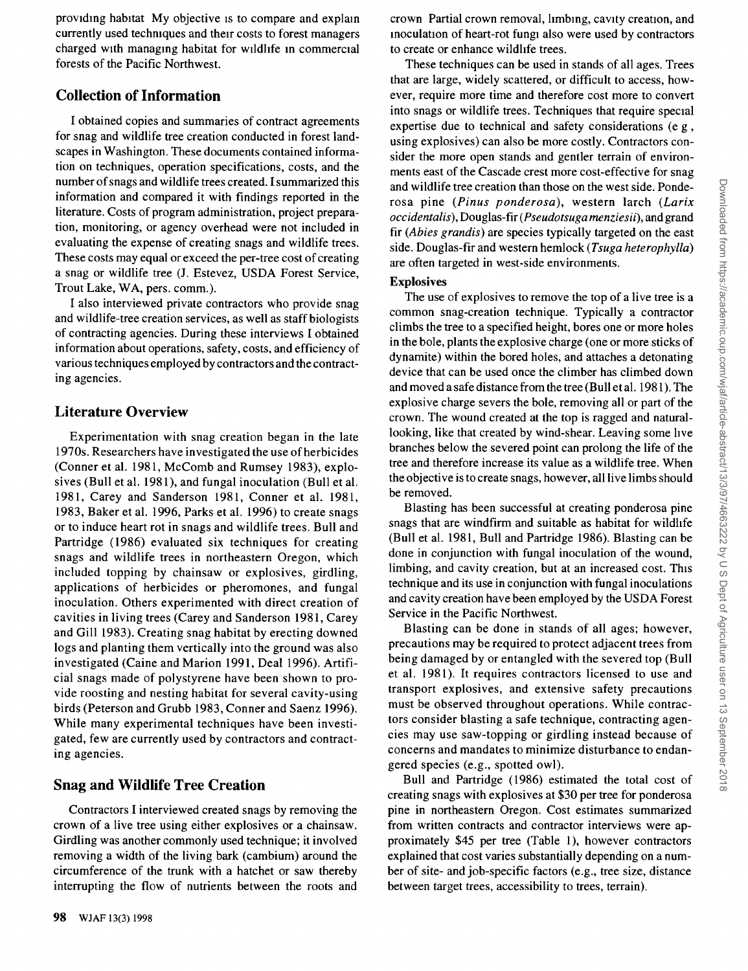**providing habitat My objective IS to compare and explain currently used techmques and their costs to forest managers**  charged with managing habitat for wildlife in commercial **forests of the Pacific Northwest.** 

# **Collection of Information**

**I obtained copies and summaries of contract agreements for snag and wildlife tree creation conducted in forest landscapes in Washington. These documents contained information on techniques, operation specifications, costs, and the number of snags and wildlife trees created. Isummarized this information and compared it with findings reported in the literature. Costs of program administration, project preparation, monitoring, or agency overhead were not included in evaluating the expense of creating snags and wildlife trees. These costs may equal or exceed the per-tree cost of creating a snag or wildlife tree (J. Estevez, USDA Forest Service,**  Trout Lake, WA, pers. comm.).

**I also interviewed private contractors who provide snag and wildlife-tree creation services, as well as staff biologists of contracting agencies. During these interviews Iobtained information about operations, safety, costs, and efficiency of various techniques employed by contractors and the contracting agencies.** 

# **Literature Overview**

**Experimentation with snag creation began in the late 1970s. Researchers have investigated the use of herbicides (Conner et al. 1981, McComb and Rumsey 1983), explosives (Bull et al. 1981), and fungal inoculation (Bull et al. 1981, Carey and Sanderson 1981, Conner et al. 1981, 1983, Baker et al. 1996, Parks et al. 1996) to create snags or to induce heart rot in snags and wildlife trees. Bull and Partridge (1986) evaluated six techniques for creating snags and wildlife trees in northeastern Oregon, which included topping by chainsaw or explosives, girdling, applications of herbicides or pheromones, and fungal inoculation. Others experimented with direct creation of cavities in living trees (Carey and Sanderson 1981, Carey and Gill 1983). Creating snag habitat by erecting downed logs and planting them vertically into the ground was also investigated (Caine and Marion 1991, Deal 1996). Artificial snags made of polystyrene have been shown to provide roosting and nesting habitat for several cavity-using birds (Peterson and Grubb 1983, Conner and Saenz 1996). While many experimental techniques have been investigated, few are currently used by contractors and contracting agencies.** 

# **Snag and Wildlife Tree Creation**

**Contractors I interviewed created snags by removing the crown of a live tree using either explosives or a chainsaw. Girdling was another commonly used technique; it involved removing a width of the living bark (cambium) around the circumference of the trunk with a hatchet or saw thereby interrupting the flow of nutrients between the roots and** 

**crown Partial crown removal, hmb•ng, cavity creation, and inoculation of heart-rot fungi also were used by contractors to create or enhance wildhfe trees.** 

**These techniques can be used in stands of all ages. Trees that are large, widely scattered, or difficult to access, however, require more time and therefore cost more to convert into snags or wildlife trees. Techniques that require special expertise due to technical and safety considerations (e g, using explosives) can also be more costly. Contractors consider the more open stands and gentler terrain of environments east of the Cascade crest more cost-effective for snag and wildlife tree creation than those on the west side. Ponderosa pine (Pinus ponderosa), western larch (Larix occidentalis), Douglas-fir ( Pseudotsuga menziesii), and grand fir (Abies grandis) are species typically targeted on the east side. Douglas-fir and western hemlock (Tsuga heterophylla) are often targeted in west-side environments.** 

## **Explosives**

**The use of explosives to remove the top of a live tree is a common snag-creation technique. Typically a contractor climbs the tree to a specified height, bores one or more holes in the bole, plants the explosive charge (one or more sticks of**  dynamite) within the bored holes, and attaches a detonating **device that can be used once the climber has climbed down and moved a safe distance from the tree (Bull et al. 1981). The explosive charge severs the bole, removing all or part of the crown. The wound created at the top is ragged and naturallooking, like that created by wind-shear. Leaving some hve branches below the severed point can prolong the life of the tree and therefore increase its value as a wildlife tree. When the objective is to create snags, however, all live limbs should be removed.** 

**Blasting has been successful at creating ponderosa pine snags that are windfirm and suitable as habitat for wildhfe (Bull et al. 1981, Bull and Partridge 1986). Blasting can be done in conjunction with fungal inoculation of the wound, limbing, and cavity creation, but at an increased cost. This technique and its use in conjunction with fungal inoculations and cavity creation have been employed by the USDA Forest Service in the Pacific Northwest.** 

**Blasting can be done in stands of all ages; however, precautions may be required to protect adjacent trees from being damaged by or entangled with the severed top (Bull et al. 1981). It requires contractors licensed to use and transport explosives, and extensive safety precautions must be observed throughout operations. While contractors consider blasting a safe technique, contracting agencies may use saw-topping or girdling instead because of concerns and mandates to minimize disturbance to endangered species (e.g., spotted owl).** 

**Bull and Partridge (1986) estimated the total cost of creating snags with explosives at \$30 per tree for ponderosa pine in northeastern Oregon. Cost estimates summarized from written contracts and contractor interviews were approximately \$45 per tree (Table 1), however contractors explained that cost varies substantially depending on a number of site- and job-specific factors (e.g., tree size, distance between target trees, accessibility to trees, terrain).**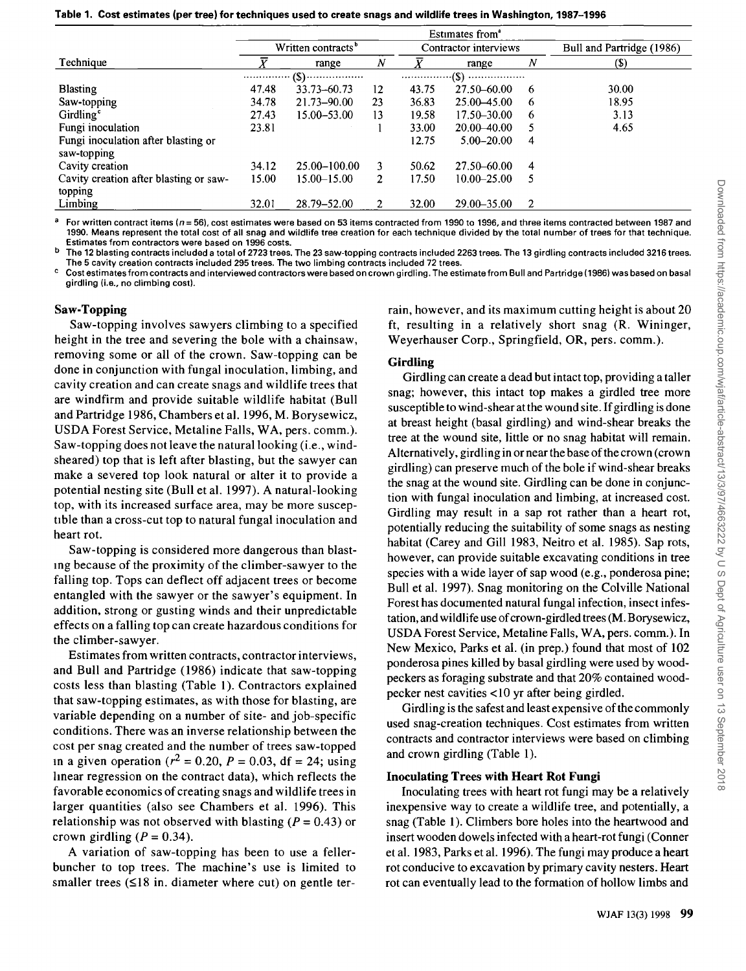|  |  |  |  | Table 1.  Cost estimates (per tree) for techniques used to create snags and wildlife trees in Washington, 1987–1996 |
|--|--|--|--|---------------------------------------------------------------------------------------------------------------------|
|--|--|--|--|---------------------------------------------------------------------------------------------------------------------|

|                                        | Estimates from <sup>®</sup>    |                    |                       |       |                 |                           |       |
|----------------------------------------|--------------------------------|--------------------|-----------------------|-------|-----------------|---------------------------|-------|
|                                        | Written contracts <sup>b</sup> |                    | Contractor interviews |       |                 | Bull and Partridge (1986) |       |
| Technique                              |                                | range              | $\boldsymbol{N}$      | X     | range           | $\boldsymbol{N}$          | (S)   |
|                                        | .                              | $\cdot$ (\$)……………… | .(\$)<br>             |       |                 |                           |       |
| <b>Blasting</b>                        | 47.48                          | 33.73 - 60.73      | 12                    | 43.75 | 27.50–60.00     | -6                        | 30.00 |
| Saw-topping                            | 34.78                          | 21.73-90.00        | 23                    | 36.83 | $25.00 - 45.00$ | -6                        | 18.95 |
| Girdling <sup>c</sup>                  | 27.43                          | 15.00 - 53.00      | 13                    | 19.58 | 17.50–30.00     | 6                         | 3.13  |
| Fungi inoculation                      | 23.81                          |                    |                       | 33.00 | $20.00 - 40.00$ | 5                         | 4.65  |
| Fungi inoculation after blasting or    |                                |                    |                       | 12.75 | $5.00 - 20.00$  | 4                         |       |
| saw-topping                            |                                |                    |                       |       |                 |                           |       |
| Cavity creation                        | 34.12                          | 25.00-100.00       | 3                     | 50.62 | 27.50–60.00     | 4                         |       |
| Cavity creation after blasting or saw- | 15.00                          | $15.00 - 15.00$    | $\overline{2}$        | 17.50 | $10.00 - 25.00$ | 5                         |       |
| topping                                |                                |                    |                       |       |                 |                           |       |
| Limbing                                | 32.01                          | 28.79-52.00        | 2                     | 32.00 | $29.00 - 35.00$ | 2                         |       |

For written contract items ( $n = 56$ ), cost estimates were based on 53 items contracted from 1990 to 1996, and three items contracted between 1987 and **1990. Means represent the total cost of all snag and wildlife tree creation for each technique divided by the total number of trees for that technique. Estimates from contractors were based on 1996 costs.** 

**b The 12 blasting contracts included a total of 2723 trees. The 23 saw-topping contracts included 2263 trees. The 13 girdling contracts included 3216 trees. The 5 cavity creation contracts included 295 trees. The two limbing contracts included 72 trees.** 

**c Cost estimates from contracts and interviewed contractors were based on crown girdling. The estimate from Bull and Partridge (1986) was based on basal girdling (i.e., no climbing cost).** 

#### **Saw-Topping**

**Saw-topping involves sawyers climbing to a specified height in the tree and severing the bole with a chainsaw, removing some or all of the crown. Saw-topping can be done in conjunction with fungal inoculation, limbing, and cavity creation and can create snags and wildlife trees that are windfirm and provide suitable wildlife habitat (Bull and Partridge 1986, Chambers et al. 1996, M. Borysewicz, USDA Forest Service, Metaline Falls, WA, pers. comm.). Saw-topping does not leave the natural looking (i.e., windsheared) top that is left after blasting, but the sawyer can make a severed top look natural or alter it to provide a potential nesting site (Bull et al. 1997). A natural-looking top, with its increased surface area, may be more suscep**tible than a cross-cut top to natural fungal inoculation and **heart rot.** 

**Saw-topping is considered more dangerous than blastlng because of the proximity of the climber-sawyer to the falling top. Tops can deflect off adjacent trees or become entangled with the sawyer or the sawyer's equipment. In addition, strong or gusting winds and their unpredictable effects on a falling top can create hazardous conditions for the climber-sawyer.** 

**Estimates from written contracts, contractor interviews, and Bull and Partridge (1986) indicate that saw-topping costs less than blasting (Table 1). Contractors explained that saw-topping estimates, as with those for blasting, are variable depending on a number of site- and job-specific conditions. There was an inverse relationship between the cost per snag created and the number of trees saw-topped in a given operation** ( $r^2 = 0.20$ ,  $P = 0.03$ , df = 24; using **linear regression on the contract data), which reflects the favorable economics of creating snags and wildlife trees in larger quantities (also see Chambers et al. 1996). This**  relationship was not observed with blasting  $(P = 0.43)$  or crown girdling  $(P = 0.34)$ .

**A variation of saw-topping has been to use a fellerbuncher to top trees. The machine's use is limited to smaller trees (<18 in. diameter where cut) on gentle ter-** **rain, however, and its maximum cutting height is about 20 ft, resulting in a relatively short snag (R. Wininger, Weyerhauser Corp., Springfield, OR, pers. comm.).** 

#### **Girdling**

**Girdling can create a dead but intact top, providing a taller snag; however, this intact top makes a girdled tree more susceptible to wind-shear at the wound site. If girdling is done at breast height (basal girdling) and wind-shear breaks the tree at the wound site, little or no snag habitat will remain. Alternatively, girdling in or near the base of the crown (crown girdling) can preserve much of the bole if wind-shear breaks the snag at the wound site. Girdling can be done in conjunction with fungal inoculation and limbing, at increased cost. Girdling may result in a sap rot rather than a heart rot, potentially reducing the suitability of some snags as nesting habitat (Carey and Gill 1983, Neitro et al. 1985). Sap rots, however, can provide suitable excavating conditions in tree species with a wide layer of sap wood (e.g., ponderosa pine; Bull et al. 1997). Snag monitoring on the Colville National Forest has documented natural fungal infection, insect infestation, and wildlife use of crown-girdled trees (M. Borysewicz, USDA Forest Service, Metaline Falls, WA, pers. comm.). In New Mexico, Parks et al. (in prep.) found that most of 102 ponderosa pines killed by basal girdling were used by woodpeckers as foraging substrate and that 20% contained woodpecker nest cavities <10 yr after being girdled.** 

**Girdling is the safest and least expensive of the commonly used snag-creation techniques. Cost estimates from written contracts and contractor interviews were based on climbing and crown girdling (Table 1).** 

#### **Inoculating Trees with Heart Rot Fungi**

**Inoculating trees with heart rot fungi may be a relatively inexpensive way to create a wildlife tree, and potentially, a snag (Table 1). Climbers bore holes into the heartwood and insert wooden dowels infected with a heart-rot fungi (Conner et al. 1983, Parks et al. 1996). The fungi may produce a heart rot conducive to excavation by primary cavity nesters. Heart rot can eventually lead to the formation of hollow limbs and**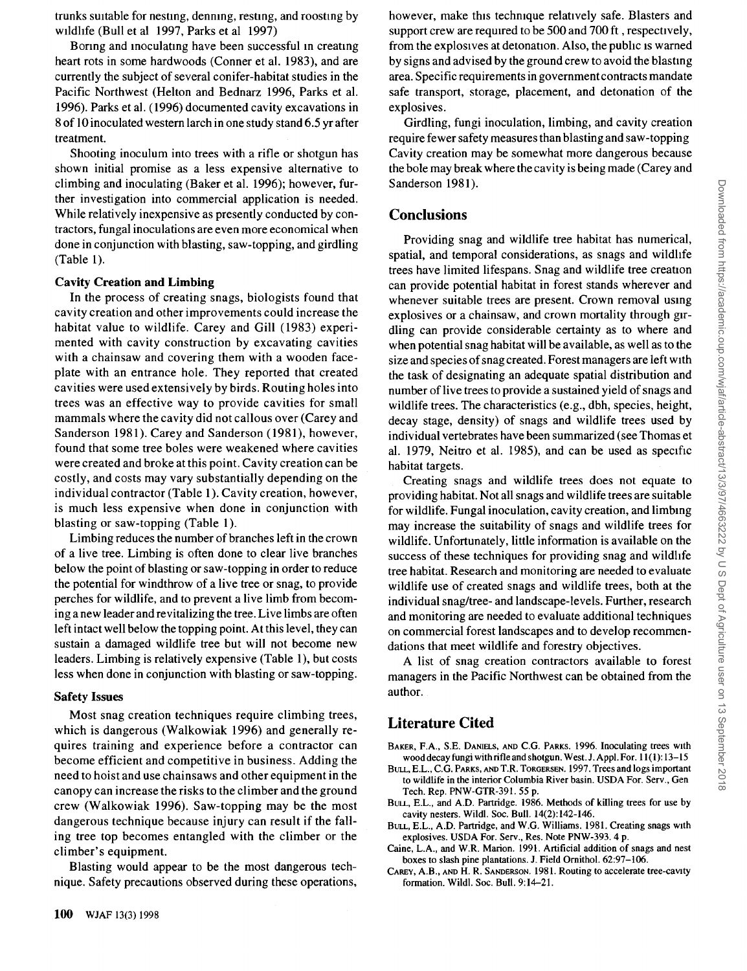**trunks suitable for nesting, denning, resting, and roosting by wildlife (Bull et al 1997, Parks et al 1997)** 

**Boring and inoculating have been successful in creating heart rots in some hardwoods (Conner et al. 1983), and are currently the subject of several conifer-habitat studies in the Pacific Northwest (Helton and Bednarz 1996, Parks et al. 1996). Parks et al. (1996) documented cavity excavations in 8 of l0 inoculated western larch in one study stand 6.5 yr after treatment.** 

**Shooting inoculum into trees with a rifle or shotgun has shown initial promise as a less expensive alternative to climbing and inoculating (Baker et al. 1996); however, further investigation into commercial application is needed. While relatively inexpensive as presently conducted by contractors, fungal inoculations are even more economical when done in conjunction with blasting, saw-topping, and girdling (Table 1).** 

#### **Cavity Creation and Limbing**

**In the process of creating snags, biologists found that cavity creation and other improvements could increase the habitat value to wildlife. Carey and Gill (1983) experimented with cavity construction by excavating cavities with a chainsaw and covering them with a wooden faceplate with an entrance hole. They reported that created cavities were used extensively by birds. Routing holes into trees was an effective way to provide cavities for small mammals where the cavity did not callous over (Carey and**  Sanderson 1981). Carey and Sanderson (1981), however, **found that some tree boles were weakened where cavities were created and broke at this point. Cavity creation can be costly, and costs may vary substantially depending on the individual contractor (Table 1). Cavity creation, however, is much less expensive when done in conjunction with blasting or saw-topping (Table 1).** 

**Limbing reduces the number of branches left in the crown of a live tree. Limbing is often done to clear live branches below the point of blasting or saw-topping in order to reduce the potential for windthrow of a live tree or snag, to provide perches for wildlife, and to prevent a live limb from becoming a new leader and revitalizing the tree. Live limbs are often left intact well below the topping point. At this level, they can sustain a damaged wildlife tree but will not become new leaders. Limbing is relatively expensive (Table 1), but costs less when done in conjunction with blasting or saw-topping.** 

#### **Safety Issues**

**Most snag creation techniques require climbing trees, which is dangerous (Walkowiak 1996) and generally requires training and experience before a contractor can become efficient and competitive in business. Adding the need to hoist and use chainsaws and other equipment in the canopy can increase the risks to the climber and the ground crew (Walkowiak 1996). Saw-topping may be the most dangerous technique because injury can result if the falling tree top becomes entangled with the climber or the climber's equipment.** 

**Blasting would appear to be the most dangerous technique. Safety precautions observed during these operations,**  **however, make this technique relatively safe. Blasters and support crew are required to be 500 and 700 ft, respectively, from the explosives at detonation. Also, the public is warned by signs and advised by the ground crew to avoid the blasting area. Specific requirements in government contracts mandate safe transport, storage, placement, and detonation of the explosives.** 

**Girdling, fungi inoculation, limbing, and cavity creation require fewer safety measures than blasting and saw-topping Cavity creation may be somewhat more dangerous because the bole may break where the cavity is being made (Carey and Sanderson 1981).** 

## **Conclusions**

**Providing snag and wildlife tree habitat has numerical, spatial, and temporal considerations, as snags and wildhfe trees have limited lifespans. Snag and wildlife tree creation can provide potential habitat in forest stands wherever and whenever suitable trees are present. Crown removal using explosives or a chainsaw, and crown mortality through girdling can provide considerable certainty as to where and when potential snag habitat will be available, as well as to the size and species of snag created. Forest managers are left with the task of designating an adequate spatial distribution and number of live trees to provide a sustained yield of snags and wildlife trees. The characteristics (e.g., dbh, species, height, decay stage, density) of snags and wildlife trees used by individual vertebrates have been summarized (see Thomas et al. 1979, Neitro et al. 1985), and can be used as specific habitat targets.** 

**Creating snags and wildlife trees does not equate to providing habitat. Not all snags and wildlife trees are suitable for wildlife. Fungal inoculation, cavity creation, and limblng may increase the suitability of snags and wildlife trees for wildlife. Unfortunately, little information is available on the success of these techniques for providing snag and wildhfe tree habitat. Research and monitoring are needed to evaluate wildlife use of created snags and wildlife trees, both at the individual snag/tree- and landscape-levels. Further, research and monitoring are needed to evaluate additional techniques on commercial forest landscapes and to develop recommendations that meet wildlife and forestry objectives.** 

**A list of snag creation contractors available to forest managers in the Pacific Northwest can be obtained from the author.** 

## **Literature Cited**

**BAKER, F.A., S.E. DANIELS, AND C.G. PARKS. 1996. Inoculating trees with wood decay fungi with rifle and shotgun. West. J. Appl. For. 11 (1): 13-15** 

- **BULL, E.L., C.G. PARKS, AND T.R. TORGERSEN. 1997. Trees and logs important**  to wildlife in the interior Columbia River basin. USDA For. Serv., Gen **Tech. Rep. PNW-GTR-391.55 p.**
- **BULL, E.L., and A.D. Partridge. 1986. Methods of killing trees for use by cavity nesters. Wildl. Soc. Bull. 14(2): 142-146.**
- **BULL, E.L., A.D. Partridge, and W.G. Williams. 1981. Creating snags with**  explosives. USDA For. Serv., Res. Note PNW-393. 4 p.
- **Caine, L.A., and W.R. Marion. 1991. Artificial addition of snags and nest**  boxes to slash pine plantations. J. Field Ornithol. 62:97-106.
- **CAREY, A.B., AND H. R. SANDERSON. 1981. Routing to accelerate tree-cavaty formation. Wildl. Soc. Bull. 9:14-21.**